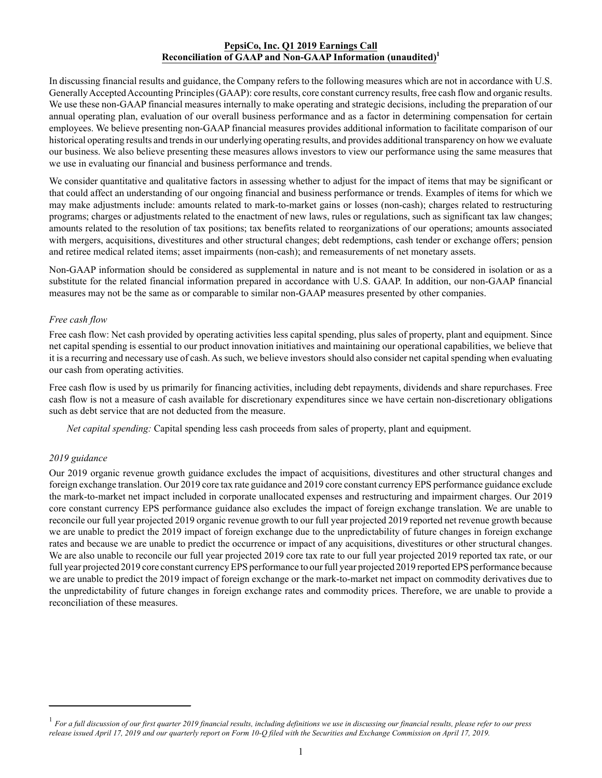## **PepsiCo, Inc. Q1 2019 Earnings Call Reconciliation of GAAP and Non-GAAP Information (unaudited)<sup>1</sup>**

In discussing financial results and guidance, the Company refers to the following measures which are not in accordance with U.S. Generally Accepted Accounting Principles (GAAP): core results, core constant currency results, free cash flow and organic results. We use these non-GAAP financial measures internally to make operating and strategic decisions, including the preparation of our annual operating plan, evaluation of our overall business performance and as a factor in determining compensation for certain employees. We believe presenting non-GAAP financial measures provides additional information to facilitate comparison of our historical operating results and trends in our underlying operating results, and provides additional transparency on how we evaluate our business. We also believe presenting these measures allows investors to view our performance using the same measures that we use in evaluating our financial and business performance and trends.

We consider quantitative and qualitative factors in assessing whether to adjust for the impact of items that may be significant or that could affect an understanding of our ongoing financial and business performance or trends. Examples of items for which we may make adjustments include: amounts related to mark-to-market gains or losses (non-cash); charges related to restructuring programs; charges or adjustments related to the enactment of new laws, rules or regulations, such as significant tax law changes; amounts related to the resolution of tax positions; tax benefits related to reorganizations of our operations; amounts associated with mergers, acquisitions, divestitures and other structural changes; debt redemptions, cash tender or exchange offers; pension and retiree medical related items; asset impairments (non-cash); and remeasurements of net monetary assets.

Non-GAAP information should be considered as supplemental in nature and is not meant to be considered in isolation or as a substitute for the related financial information prepared in accordance with U.S. GAAP. In addition, our non-GAAP financial measures may not be the same as or comparable to similar non-GAAP measures presented by other companies.

## *Free cash flow*

Free cash flow: Net cash provided by operating activities less capital spending, plus sales of property, plant and equipment. Since net capital spending is essential to our product innovation initiatives and maintaining our operational capabilities, we believe that it is a recurring and necessary use of cash. As such, we believe investors should also consider net capital spending when evaluating our cash from operating activities.

Free cash flow is used by us primarily for financing activities, including debt repayments, dividends and share repurchases. Free cash flow is not a measure of cash available for discretionary expenditures since we have certain non-discretionary obligations such as debt service that are not deducted from the measure.

*Net capital spending:* Capital spending less cash proceeds from sales of property, plant and equipment.

## *2019 guidance*

Our 2019 organic revenue growth guidance excludes the impact of acquisitions, divestitures and other structural changes and foreign exchange translation. Our 2019 core tax rate guidance and 2019 core constant currency EPS performance guidance exclude the mark-to-market net impact included in corporate unallocated expenses and restructuring and impairment charges. Our 2019 core constant currency EPS performance guidance also excludes the impact of foreign exchange translation. We are unable to reconcile our full year projected 2019 organic revenue growth to our full year projected 2019 reported net revenue growth because we are unable to predict the 2019 impact of foreign exchange due to the unpredictability of future changes in foreign exchange rates and because we are unable to predict the occurrence or impact of any acquisitions, divestitures or other structural changes. We are also unable to reconcile our full year projected 2019 core tax rate to our full year projected 2019 reported tax rate, or our full year projected 2019 core constant currency EPS performance to our full year projected 2019 reported EPS performance because we are unable to predict the 2019 impact of foreign exchange or the mark-to-market net impact on commodity derivatives due to the unpredictability of future changes in foreign exchange rates and commodity prices. Therefore, we are unable to provide a reconciliation of these measures.

<sup>1</sup> *For a full discussion of our first quarter 2019 financial results, including definitions we use in discussing our financial results, please refer to our press release issued April 17, 2019 and our quarterly report on Form 10-Q filed with the Securities and Exchange Commission on April 17, 2019.*